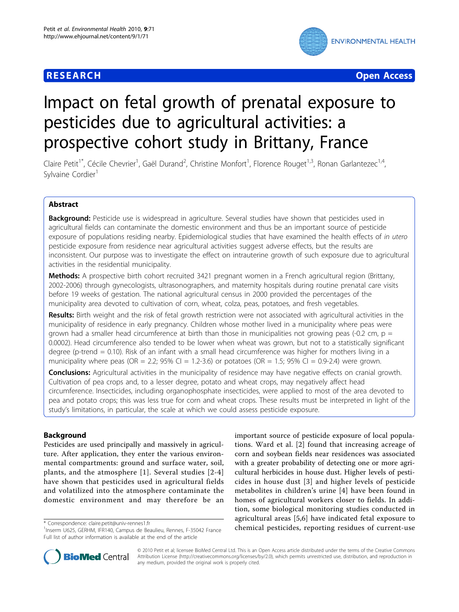

**RESEARCH CONSTRUCTION CONSTRUCTS** Open Access **Construction Constructs of the Construction Constructs** of the Const

# Impact on fetal growth of prenatal exposure to pesticides due to agricultural activities: a prospective cohort study in Brittany, France

Claire Petit<sup>1\*</sup>, Cécile Chevrier<sup>1</sup>, Gaël Durand<sup>2</sup>, Christine Monfort<sup>1</sup>, Florence Rouget<sup>1,3</sup>, Ronan Garlantezec<sup>1,4</sup>, Sylvaine Cordier<sup>1</sup>

# Abstract

Background: Pesticide use is widespread in agriculture. Several studies have shown that pesticides used in agricultural fields can contaminate the domestic environment and thus be an important source of pesticide exposure of populations residing nearby. Epidemiological studies that have examined the health effects of in utero pesticide exposure from residence near agricultural activities suggest adverse effects, but the results are inconsistent. Our purpose was to investigate the effect on intrauterine growth of such exposure due to agricultural activities in the residential municipality.

Methods: A prospective birth cohort recruited 3421 pregnant women in a French agricultural region (Brittany, 2002-2006) through gynecologists, ultrasonographers, and maternity hospitals during routine prenatal care visits before 19 weeks of gestation. The national agricultural census in 2000 provided the percentages of the municipality area devoted to cultivation of corn, wheat, colza, peas, potatoes, and fresh vegetables.

Results: Birth weight and the risk of fetal growth restriction were not associated with agricultural activities in the municipality of residence in early pregnancy. Children whose mother lived in a municipality where peas were grown had a smaller head circumference at birth than those in municipalities not growing peas (-0.2 cm,  $p =$ 0.0002). Head circumference also tended to be lower when wheat was grown, but not to a statistically significant degree (p-trend = 0.10). Risk of an infant with a small head circumference was higher for mothers living in a municipality where peas (OR = 2.2; 95% CI = 1.2-3.6) or potatoes (OR = 1.5; 95% CI = 0.9-2.4) were grown.

Conclusions: Agricultural activities in the municipality of residence may have negative effects on cranial growth. Cultivation of pea crops and, to a lesser degree, potato and wheat crops, may negatively affect head circumference. Insecticides, including organophosphate insecticides, were applied to most of the area devoted to pea and potato crops; this was less true for corn and wheat crops. These results must be interpreted in light of the study's limitations, in particular, the scale at which we could assess pesticide exposure.

# Background

Pesticides are used principally and massively in agriculture. After application, they enter the various environmental compartments: ground and surface water, soil, plants, and the atmosphere [[1](#page-10-0)]. Several studies [[2](#page-10-0)-[4](#page-10-0)] have shown that pesticides used in agricultural fields and volatilized into the atmosphere contaminate the domestic environment and may therefore be an

important source of pesticide exposure of local populations. Ward et al. [\[2](#page-10-0)] found that increasing acreage of corn and soybean fields near residences was associated with a greater probability of detecting one or more agricultural herbicides in house dust. Higher levels of pesticides in house dust [[3\]](#page-10-0) and higher levels of pesticide metabolites in children's urine [\[4](#page-10-0)] have been found in homes of agricultural workers closer to fields. In addition, some biological monitoring studies conducted in agricultural areas [\[5](#page-10-0),[6\]](#page-10-0) have indicated fetal exposure to chemical pesticides, reporting residues of current-use \* Correspondence: [claire.petit@univ-rennes1.fr](mailto:claire.petit@univ-rennes1.fr)



© 2010 Petit et al; licensee BioMed Central Ltd. This is an Open Access article distributed under the terms of the Creative Commons Attribution License [\(http://creativecommons.org/licenses/by/2.0](http://creativecommons.org/licenses/by/2.0)), which permits unrestricted use, distribution, and reproduction in any medium, provided the original work is properly cited.

<sup>&</sup>lt;sup>1</sup>Inserm U625, GERHM, IFR140, Campus de Beaulieu, Rennes, F-35042 France Full list of author information is available at the end of the article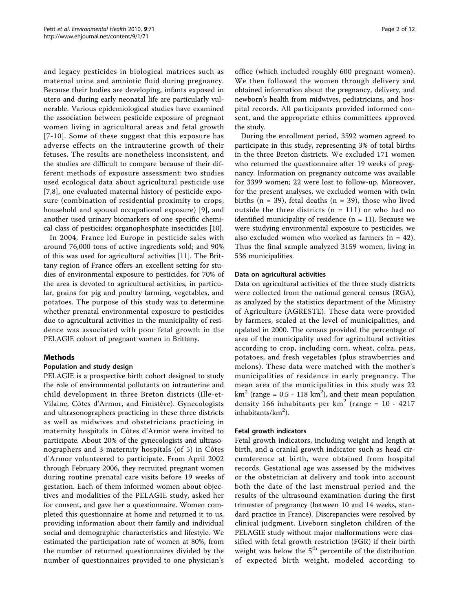and legacy pesticides in biological matrices such as maternal urine and amniotic fluid during pregnancy. Because their bodies are developing, infants exposed in utero and during early neonatal life are particularly vulnerable. Various epidemiological studies have examined the association between pesticide exposure of pregnant women living in agricultural areas and fetal growth [[7](#page-10-0)[-10\]](#page-11-0). Some of these suggest that this exposure has adverse effects on the intrauterine growth of their fetuses. The results are nonetheless inconsistent, and the studies are difficult to compare because of their different methods of exposure assessment: two studies used ecological data about agricultural pesticide use [[7](#page-10-0)[,8](#page-11-0)], one evaluated maternal history of pesticide exposure (combination of residential proximity to crops, household and spousal occupational exposure) [\[9](#page-11-0)], and another used urinary biomarkers of one specific chemical class of pesticides: organophosphate insecticides [\[10\]](#page-11-0).

In 2004, France led Europe in pesticide sales with around 76,000 tons of active ingredients sold; and 90% of this was used for agricultural activities [[11](#page-11-0)]. The Brittany region of France offers an excellent setting for studies of environmental exposure to pesticides, for 70% of the area is devoted to agricultural activities, in particular, grains for pig and poultry farming, vegetables, and potatoes. The purpose of this study was to determine whether prenatal environmental exposure to pesticides due to agricultural activities in the municipality of residence was associated with poor fetal growth in the PELAGIE cohort of pregnant women in Brittany.

# Methods

# Population and study design

PELAGIE is a prospective birth cohort designed to study the role of environmental pollutants on intrauterine and child development in three Breton districts (Ille-et-Vilaine, Côtes d'Armor, and Finistère). Gynecologists and ultrasonographers practicing in these three districts as well as midwives and obstetricians practicing in maternity hospitals in Côtes d'Armor were invited to participate. About 20% of the gynecologists and ultrasonographers and 3 maternity hospitals (of 5) in Côtes d'Armor volunteered to participate. From April 2002 through February 2006, they recruited pregnant women during routine prenatal care visits before 19 weeks of gestation. Each of them informed women about objectives and modalities of the PELAGIE study, asked her for consent, and gave her a questionnaire. Women completed this questionnaire at home and returned it to us, providing information about their family and individual social and demographic characteristics and lifestyle. We estimated the participation rate of women at 80%, from the number of returned questionnaires divided by the number of questionnaires provided to one physician's

office (which included roughly 600 pregnant women). We then followed the women through delivery and obtained information about the pregnancy, delivery, and newborn's health from midwives, pediatricians, and hospital records. All participants provided informed consent, and the appropriate ethics committees approved the study.

During the enrollment period, 3592 women agreed to participate in this study, representing 3% of total births in the three Breton districts. We excluded 171 women who returned the questionnaire after 19 weeks of pregnancy. Information on pregnancy outcome was available for 3399 women; 22 were lost to follow-up. Moreover, for the present analyses, we excluded women with twin births (n = 39), fetal deaths (n = 39), those who lived outside the three districts  $(n = 111)$  or who had no identified municipality of residence  $(n = 11)$ . Because we were studying environmental exposure to pesticides, we also excluded women who worked as farmers ( $n = 42$ ). Thus the final sample analyzed 3159 women, living in 536 municipalities.

# Data on agricultural activities

Data on agricultural activities of the three study districts were collected from the national general census (RGA), as analyzed by the statistics department of the Ministry of Agriculture (AGRESTE). These data were provided by farmers, scaled at the level of municipalities, and updated in 2000. The census provided the percentage of area of the municipality used for agricultural activities according to crop, including corn, wheat, colza, peas, potatoes, and fresh vegetables (plus strawberries and melons). These data were matched with the mother's municipalities of residence in early pregnancy. The mean area of the municipalities in this study was 22  $km<sup>2</sup>$  (range = 0.5 - 118 km<sup>2</sup>), and their mean population density 166 inhabitants per  $km^2$  (range = 10 - 4217 inhabitants/km<sup>2</sup>).

# Fetal growth indicators

Fetal growth indicators, including weight and length at birth, and a cranial growth indicator such as head circumference at birth, were obtained from hospital records. Gestational age was assessed by the midwives or the obstetrician at delivery and took into account both the date of the last menstrual period and the results of the ultrasound examination during the first trimester of pregnancy (between 10 and 14 weeks, standard practice in France). Discrepancies were resolved by clinical judgment. Liveborn singleton children of the PELAGIE study without major malformations were classified with fetal growth restriction (FGR) if their birth weight was below the  $5<sup>th</sup>$  percentile of the distribution of expected birth weight, modeled according to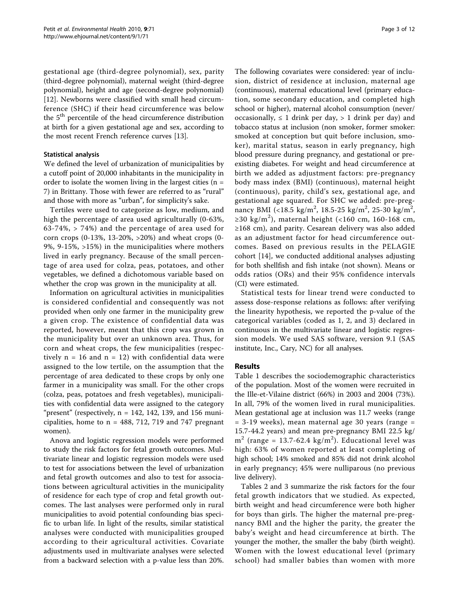gestational age (third-degree polynomial), sex, parity (third-degree polynomial), maternal weight (third-degree polynomial), height and age (second-degree polynomial) [[12\]](#page-11-0). Newborns were classified with small head circumference (SHC) if their head circumference was below the 5<sup>th</sup> percentile of the head circumference distribution at birth for a given gestational age and sex, according to the most recent French reference curves [\[13\]](#page-11-0).

# Statistical analysis

We defined the level of urbanization of municipalities by a cutoff point of 20,000 inhabitants in the municipality in order to isolate the women living in the largest cities ( $n =$ 7) in Brittany. Those with fewer are referred to as "rural" and those with more as "urban", for simplicity's sake.

Tertiles were used to categorize as low, medium, and high the percentage of area used agriculturally (0-63%, 63-74%, > 74%) and the percentage of area used for corn crops (0-13%, 13-20%, >20%) and wheat crops (0- 9%, 9-15%, >15%) in the municipalities where mothers lived in early pregnancy. Because of the small percentage of area used for colza, peas, potatoes, and other vegetables, we defined a dichotomous variable based on whether the crop was grown in the municipality at all.

Information on agricultural activities in municipalities is considered confidential and consequently was not provided when only one farmer in the municipality grew a given crop. The existence of confidential data was reported, however, meant that this crop was grown in the municipality but over an unknown area. Thus, for corn and wheat crops, the few municipalities (respectively  $n = 16$  and  $n = 12$ ) with confidential data were assigned to the low tertile, on the assumption that the percentage of area dedicated to these crops by only one farmer in a municipality was small. For the other crops (colza, peas, potatoes and fresh vegetables), municipalities with confidential data were assigned to the category "present" (respectively,  $n = 142$ , 142, 139, and 156 municipalities, home to  $n = 488, 712, 719$  and 747 pregnant women).

Anova and logistic regression models were performed to study the risk factors for fetal growth outcomes. Multivariate linear and logistic regression models were used to test for associations between the level of urbanization and fetal growth outcomes and also to test for associations between agricultural activities in the municipality of residence for each type of crop and fetal growth outcomes. The last analyses were performed only in rural municipalities to avoid potential confounding bias specific to urban life. In light of the results, similar statistical analyses were conducted with municipalities grouped according to their agricultural activities. Covariate adjustments used in multivariate analyses were selected from a backward selection with a p-value less than 20%.

The following covariates were considered: year of inclusion, district of residence at inclusion, maternal age (continuous), maternal educational level (primary education, some secondary education, and completed high school or higher), maternal alcohol consumption (never/ occasionally,  $\leq 1$  drink per day,  $> 1$  drink per day) and tobacco status at inclusion (non smoker, former smoker: smoked at conception but quit before inclusion, smoker), marital status, season in early pregnancy, high blood pressure during pregnancy, and gestational or preexisting diabetes. For weight and head circumference at birth we added as adjustment factors: pre-pregnancy body mass index (BMI) (continuous), maternal height (continuous), parity, child's sex, gestational age, and gestational age squared. For SHC we added: pre-pregnancy BMI (<18.5 kg/m<sup>2</sup>, 18.5-25 kg/m<sup>2</sup>, 25-30 kg/m<sup>2</sup>, ≥30 kg/m<sup>2</sup>), maternal height (<160 cm, 160-168 cm, ≥168 cm), and parity. Cesarean delivery was also added as an adjustment factor for head circumference outcomes. Based on previous results in the PELAGIE cohort [[14\]](#page-11-0), we conducted additional analyses adjusting for both shellfish and fish intake (not shown). Means or odds ratios (ORs) and their 95% confidence intervals (CI) were estimated.

Statistical tests for linear trend were conducted to assess dose-response relations as follows: after verifying the linearity hypothesis, we reported the p-value of the categorical variables (coded as 1, 2, and 3) declared in continuous in the multivariate linear and logistic regression models. We used SAS software, version 9.1 (SAS institute, Inc., Cary, NC) for all analyses.

# Results

Table [1](#page-3-0) describes the sociodemographic characteristics of the population. Most of the women were recruited in the Ille-et-Vilaine district (66%) in 2003 and 2004 (73%). In all, 79% of the women lived in rural municipalities. Mean gestational age at inclusion was 11.7 weeks (range = 3-19 weeks), mean maternal age 30 years (range = 15.7-44.2 years) and mean pre-pregnancy BMI 22.5 kg/  $m<sup>2</sup>$  (range = 13.7-62.4 kg/m<sup>2</sup>). Educational level was high: 63% of women reported at least completing of high school; 14% smoked and 85% did not drink alcohol in early pregnancy; 45% were nulliparous (no previous live delivery).

Tables [2](#page-4-0) and [3](#page-6-0) summarize the risk factors for the four fetal growth indicators that we studied. As expected, birth weight and head circumference were both higher for boys than girls. The higher the maternal pre-pregnancy BMI and the higher the parity, the greater the baby's weight and head circumference at birth. The younger the mother, the smaller the baby (birth weight). Women with the lowest educational level (primary school) had smaller babies than women with more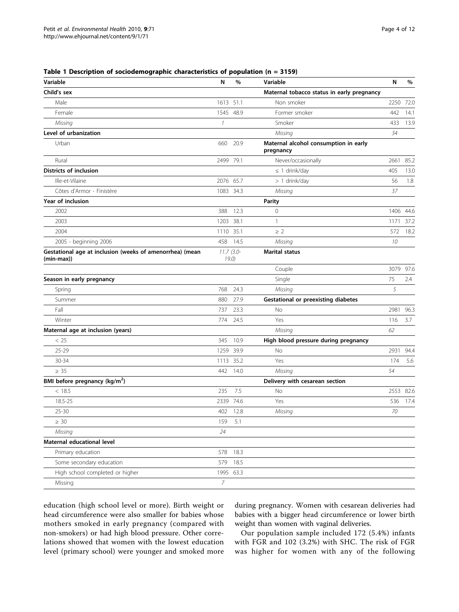# <span id="page-3-0"></span>Table 1 Description of sociodemographic characteristics of population (n = 3159)

| Variable                                                                 | N                    | %         | Variable                                           | N    | %         |
|--------------------------------------------------------------------------|----------------------|-----------|----------------------------------------------------|------|-----------|
| Child's sex                                                              |                      |           | Maternal tobacco status in early pregnancy         |      |           |
| Male                                                                     | 1613 51.1            |           | Non smoker                                         | 2250 | 72.0      |
| Female                                                                   | 1545 48.9            |           | Former smoker                                      | 442  | 14.1      |
| Missing                                                                  | $\mathcal{I}$        |           | Smoker                                             | 433  | 13.9      |
| Level of urbanization                                                    |                      |           | Missing                                            | 34   |           |
| Urban                                                                    | 660                  | 20.9      | Maternal alcohol consumption in early<br>pregnancy |      |           |
| Rural                                                                    | 2499 79.1            |           | Never/occasionally                                 | 2661 | 85.2      |
| Districts of inclusion                                                   |                      |           | $\leq$ 1 drink/day                                 | 405  | 13.0      |
| Ille-et-Vilaine                                                          | 2076 65.7            |           | > 1 drink/day                                      | 56   | 1.8       |
| Côtes d'Armor - Finistère                                                | 1083                 | 34.3      | Missing                                            | 37   |           |
| Year of inclusion                                                        |                      |           | Parity                                             |      |           |
| 2002                                                                     | 388                  | 12.3      | 0                                                  |      | 1406 44.6 |
| 2003                                                                     | 1203                 | 38.1      | $\mathbf{1}$                                       | 1171 | 37.2      |
| 2004                                                                     | 1110                 | 35.1      | $\geq$ 2                                           | 572  | 18.2      |
| 2005 - beginning 2006                                                    | 458                  | 14.5      | Missing                                            | 10   |           |
| Gestational age at inclusion (weeks of amenorrhea) (mean<br>$(min-max))$ | $11.7(3.0-$<br>19.0) |           | <b>Marital status</b>                              |      |           |
|                                                                          |                      |           | Couple                                             |      | 3079 97.6 |
| Season in early pregnancy                                                |                      |           | Single                                             | 75   | 2.4       |
| Spring                                                                   | 768                  | 24.3      | Missing                                            | 5    |           |
| Summer                                                                   | 880                  | 27.9      | <b>Gestational or preexisting diabetes</b>         |      |           |
| Fall                                                                     | 737                  | 23.3      | No                                                 | 2981 | 96.3      |
| Winter                                                                   | 774                  | 24.5      | Yes                                                | 116  | 3.7       |
| Maternal age at inclusion (years)                                        |                      |           | Missing                                            | 62   |           |
| < 25                                                                     | 345                  | 10.9      | High blood pressure during pregnancy               |      |           |
| $25 - 29$                                                                |                      | 1259 39.9 | <b>No</b>                                          | 2931 | 94.4      |
| 30-34                                                                    | 1113 35.2            |           | Yes                                                | 174  | 5.6       |
| $\geq 35$                                                                | 442                  | 14.0      | Missing                                            | 54   |           |
| BMI before pregnancy (kg/m <sup>2</sup> )                                |                      |           | Delivery with cesarean section                     |      |           |
| < 18.5                                                                   | 235                  | 7.5       | No                                                 |      | 2553 82.6 |
| 18.5-25                                                                  | 2339                 | 74.6      | Yes                                                | 536  | 17.4      |
| $25 - 30$                                                                | 402                  | 12.8      | Missing                                            | 70   |           |
| $\geq 30$                                                                | 159                  | 5.1       |                                                    |      |           |
| Missing                                                                  | 24                   |           |                                                    |      |           |
| Maternal educational level                                               |                      |           |                                                    |      |           |
| Primary education                                                        |                      | 578 18.3  |                                                    |      |           |
| Some secondary education                                                 |                      | 579 18.5  |                                                    |      |           |
| High school completed or higher                                          |                      | 1995 63.3 |                                                    |      |           |
| Missing                                                                  | $\bar{z}$            |           |                                                    |      |           |

education (high school level or more). Birth weight or head circumference were also smaller for babies whose mothers smoked in early pregnancy (compared with non-smokers) or had high blood pressure. Other correlations showed that women with the lowest education level (primary school) were younger and smoked more during pregnancy. Women with cesarean deliveries had babies with a bigger head circumference or lower birth weight than women with vaginal deliveries.

Our population sample included 172 (5.4%) infants with FGR and 102 (3.2%) with SHC. The risk of FGR was higher for women with any of the following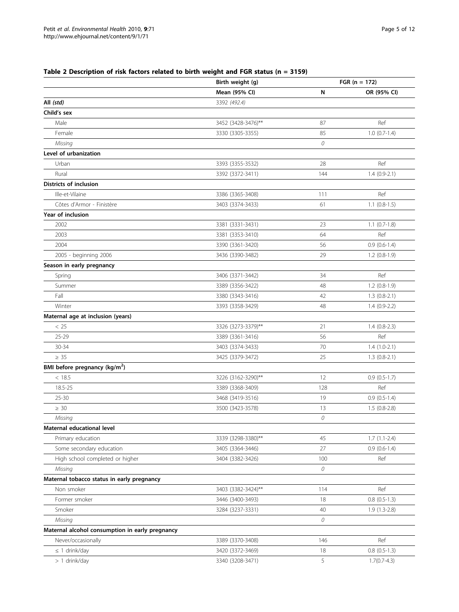# <span id="page-4-0"></span>Table 2 Description of risk factors related to birth weight and FGR status (n = 3159)

|                                                 | Birth weight (g)   |     | FGR ( $n = 172$ ) |
|-------------------------------------------------|--------------------|-----|-------------------|
|                                                 | Mean (95% CI)      | N   | OR (95% CI)       |
| All (std)                                       | 3392 (492.4)       |     |                   |
| Child's sex                                     |                    |     |                   |
| Male                                            | 3452 (3428-3476)** | 87  | Ref               |
| Female                                          | 3330 (3305-3355)   | 85  | $1.0(0.7-1.4)$    |
| Missing                                         |                    | 0   |                   |
| Level of urbanization                           |                    |     |                   |
| Urban                                           | 3393 (3355-3532)   | 28  | Ref               |
| Rural                                           | 3392 (3372-3411)   | 144 | $1.4(0.9-2.1)$    |
| Districts of inclusion                          |                    |     |                   |
| Ille-et-Vilaine                                 | 3386 (3365-3408)   | 111 | Ref               |
| Côtes d'Armor - Finistère                       | 3403 (3374-3433)   | 61  | $1.1$ (0.8-1.5)   |
| Year of inclusion                               |                    |     |                   |
| 2002                                            | 3381 (3331-3431)   | 23  | $1.1$ (0.7-1.8)   |
| 2003                                            | 3381 (3353-3410)   | 64  | Ref               |
| 2004                                            | 3390 (3361-3420)   | 56  | $0.9(0.6-1.4)$    |
| 2005 - beginning 2006                           | 3436 (3390-3482)   | 29  | $1.2(0.8-1.9)$    |
| Season in early pregnancy                       |                    |     |                   |
| Spring                                          | 3406 (3371-3442)   | 34  | Ref               |
| Summer                                          | 3389 (3356-3422)   | 48  | $1.2(0.8-1.9)$    |
| Fall                                            | 3380 (3343-3416)   | 42  | $1.3(0.8-2.1)$    |
| Winter                                          | 3393 (3358-3429)   | 48  | $1.4(0.9-2.2)$    |
| Maternal age at inclusion (years)               |                    |     |                   |
| < 25                                            | 3326 (3273-3379)** | 21  | $1.4(0.8-2.3)$    |
| 25-29                                           | 3389 (3361-3416)   | 56  | Ref               |
| 30-34                                           | 3403 (3374-3433)   | 70  | $1.4(1.0-2.1)$    |
| $\geq 35$                                       | 3425 (3379-3472)   | 25  | $1.3(0.8-2.1)$    |
| BMI before pregnancy (kg/m <sup>2</sup> )       |                    |     |                   |
| < 18.5                                          | 3226 (3162-3290)** | 12  | $0.9(0.5-1.7)$    |
| 18.5-25                                         | 3389 (3368-3409)   | 128 | Ref               |
| $25 - 30$                                       | 3468 (3419-3516)   | 19  | $0.9(0.5-1.4)$    |
| $\geq 30$                                       | 3500 (3423-3578)   | 13  | $1.5(0.8-2.8)$    |
| Missing                                         |                    | 0   |                   |
| Maternal educational level                      |                    |     |                   |
| Primary education                               | 3339 (3298-3380)** | 45  | $1.7(1.1-2.4)$    |
| Some secondary education                        | 3405 (3364-3446)   | 27  | $0.9(0.6-1.4)$    |
| High school completed or higher                 | 3404 (3382-3426)   | 100 | Ref               |
| Missing                                         |                    | 0   |                   |
| Maternal tobacco status in early pregnancy      |                    |     |                   |
| Non smoker                                      | 3403 (3382-3424)** | 114 | Ref               |
| Former smoker                                   | 3446 (3400-3493)   | 18  | $0.8$ $(0.5-1.3)$ |
| Smoker                                          | 3284 (3237-3331)   | 40  | $1.9(1.3-2.8)$    |
| Missing                                         |                    | 0   |                   |
| Maternal alcohol consumption in early pregnancy |                    |     |                   |
| Never/occasionally                              | 3389 (3370-3408)   | 146 | Ref               |
| $\leq$ 1 drink/day                              | 3420 (3372-3469)   | 18  | $0.8$ $(0.5-1.3)$ |
| > 1 drink/day                                   | 3340 (3208-3471)   | 5   | $1.7(0.7-4.3)$    |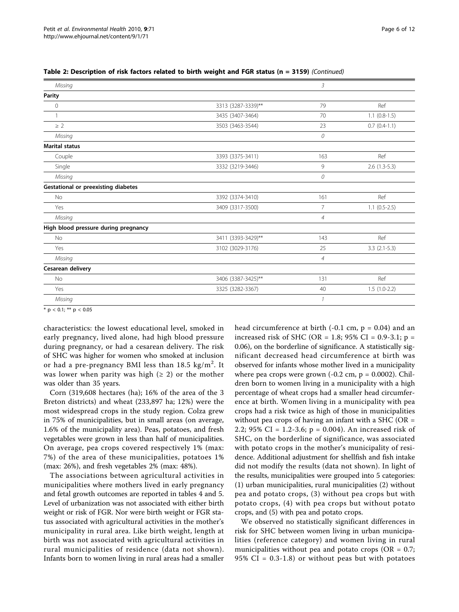Table 2: Description of risk factors related to birth weight and FGR status (n = 3159) (Continued)

| Missing                                    |                    | 3              |                     |
|--------------------------------------------|--------------------|----------------|---------------------|
| Parity                                     |                    |                |                     |
| $\mathbf 0$                                | 3313 (3287-3339)** | 79             | Ref                 |
|                                            | 3435 (3407-3464)   | 70             | $1.1 (0.8-1.5)$     |
| $\geq 2$                                   | 3503 (3463-3544)   | 23             | $0.7(0.4-1.1)$      |
| Missing                                    |                    | 0              |                     |
| <b>Marital status</b>                      |                    |                |                     |
| Couple                                     | 3393 (3375-3411)   | 163            | Ref                 |
| Single                                     | 3332 (3219-3446)   | 9              | $2.6(1.3-5.3)$      |
| Missing                                    |                    | 0              |                     |
| <b>Gestational or preexisting diabetes</b> |                    |                |                     |
| <b>No</b>                                  | 3392 (3374-3410)   | 161            | Ref                 |
| Yes                                        | 3409 (3317-3500)   | $\overline{7}$ | $1.1$ (0.5-2.5)     |
| Missing                                    |                    | $\overline{4}$ |                     |
| High blood pressure during pregnancy       |                    |                |                     |
| <b>No</b>                                  | 3411 (3393-3429)** | 143            | Ref                 |
| Yes                                        | 3102 (3029-3176)   | 25             | $3.3$ $(2.1 - 5.3)$ |
| Missing                                    |                    | $\overline{4}$ |                     |
| Cesarean delivery                          |                    |                |                     |
| No                                         | 3406 (3387-3425)** | 131            | Ref                 |
| Yes                                        | 3325 (3282-3367)   | 40             | $1.5(1.0-2.2)$      |
| Missing                                    |                    | 1              |                     |

 $*$  p < 0.1; \*\* p < 0.05

characteristics: the lowest educational level, smoked in early pregnancy, lived alone, had high blood pressure during pregnancy, or had a cesarean delivery. The risk of SHC was higher for women who smoked at inclusion or had a pre-pregnancy BMI less than  $18.5 \text{ kg/m}^2$ . It was lower when parity was high  $(≥ 2)$  or the mother was older than 35 years.

Corn (319,608 hectares (ha); 16% of the area of the 3 Breton districts) and wheat (233,897 ha; 12%) were the most widespread crops in the study region. Colza grew in 75% of municipalities, but in small areas (on average, 1.6% of the municipality area). Peas, potatoes, and fresh vegetables were grown in less than half of municipalities. On average, pea crops covered respectively 1% (max: 7%) of the area of these municipalities, potatoes 1% (max: 26%), and fresh vegetables 2% (max: 48%).

The associations between agricultural activities in municipalities where mothers lived in early pregnancy and fetal growth outcomes are reported in tables [4](#page-8-0) and [5](#page-9-0). Level of urbanization was not associated with either birth weight or risk of FGR. Nor were birth weight or FGR status associated with agricultural activities in the mother's municipality in rural area. Like birth weight, length at birth was not associated with agricultural activities in rural municipalities of residence (data not shown). Infants born to women living in rural areas had a smaller head circumference at birth  $(-0.1 \text{ cm}, \text{p} = 0.04)$  and an increased risk of SHC (OR = 1.8; 95% CI = 0.9-3.1; p = 0.06), on the borderline of significance. A statistically significant decreased head circumference at birth was observed for infants whose mother lived in a municipality where pea crops were grown  $(-0.2 \text{ cm}, \text{p} = 0.0002)$ . Children born to women living in a municipality with a high percentage of wheat crops had a smaller head circumference at birth. Women living in a municipality with pea crops had a risk twice as high of those in municipalities without pea crops of having an infant with a SHC (OR = 2.2; 95% CI = 1.2-3.6; p = 0.004). An increased risk of SHC, on the borderline of significance, was associated with potato crops in the mother's municipality of residence. Additional adjustment for shellfish and fish intake did not modify the results (data not shown). In light of the results, municipalities were grouped into 5 categories: (1) urban municipalities, rural municipalities (2) without pea and potato crops, (3) without pea crops but with potato crops, (4) with pea crops but without potato crops, and (5) with pea and potato crops.

We observed no statistically significant differences in risk for SHC between women living in urban municipalities (reference category) and women living in rural municipalities without pea and potato crops ( $OR = 0.7$ ; 95%  $CI = 0.3 - 1.8$  or without peas but with potatoes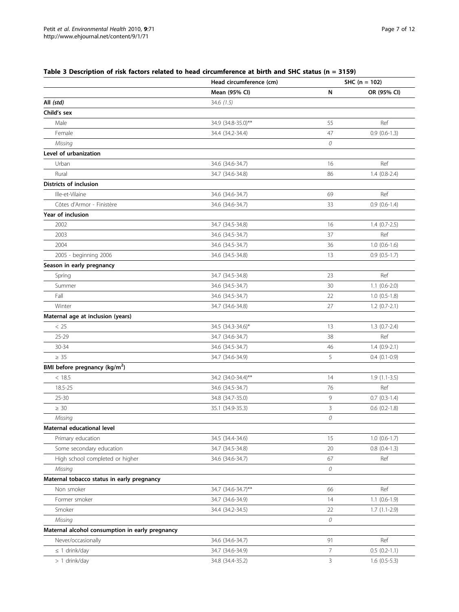# <span id="page-6-0"></span>Table 3 Description of risk factors related to head circumference at birth and SHC status (n = 3159)

|                                                 | Head circumference (cm) |                | SHC ( $n = 102$ ) |
|-------------------------------------------------|-------------------------|----------------|-------------------|
|                                                 | Mean (95% CI)           | N              | OR (95% CI)       |
| All (std)                                       | 34.6 (1.5)              |                |                   |
| Child's sex                                     |                         |                |                   |
| Male                                            | 34.9 (34.8-35.0)**      | 55             | Ref               |
| Female                                          | 34.4 (34.2-34.4)        | 47             | $0.9(0.6-1.3)$    |
| Missing                                         |                         | 0              |                   |
| Level of urbanization                           |                         |                |                   |
| Urban                                           | 34.6 (34.6-34.7)        | 16             | Ref               |
| Rural                                           | 34.7 (34.6-34.8)        | 86             | $1.4(0.8-2.4)$    |
| Districts of inclusion                          |                         |                |                   |
| Ille-et-Vilaine                                 | 34.6 (34.6-34.7)        | 69             | Ref               |
| Côtes d'Armor - Finistère                       | 34.6 (34.6-34.7)        | 33             | $0.9(0.6-1.4)$    |
| Year of inclusion                               |                         |                |                   |
| 2002                                            | 34.7 (34.5-34.8)        | 16             | $1.4(0.7-2.5)$    |
| 2003                                            | 34.6 (34.5-34.7)        | 37             | Ref               |
| 2004                                            | 34.6 (34.5-34.7)        | 36             | $1.0(0.6-1.6)$    |
| 2005 - beginning 2006                           | 34.6 (34.5-34.8)        | 13             | $0.9(0.5-1.7)$    |
| Season in early pregnancy                       |                         |                |                   |
| Spring                                          | 34.7 (34.5-34.8)        | 23             | Ref               |
| Summer                                          | 34.6 (34.5-34.7)        | 30             | $1.1$ (0.6-2.0)   |
| Fall                                            | 34.6 (34.5-34.7)        | 22             | $1.0(0.5-1.8)$    |
| Winter                                          | 34.7 (34.6-34.8)        | 27             | $1.2(0.7-2.1)$    |
| Maternal age at inclusion (years)               |                         |                |                   |
| < 25                                            | 34.5 (34.3-34.6)*       | 13             | $1.3(0.7-2.4)$    |
| $25 - 29$                                       | 34.7 (34.6-34.7)        | 38             | Ref               |
| 30-34                                           | 34.6 (34.5-34.7)        | 46             | $1.4(0.9-2.1)$    |
| $\geq 35$                                       | 34.7 (34.6-34.9)        | 5              | $0.4$ $(0.1-0.9)$ |
| BMI before pregnancy ( $\text{kg/m}^2$ )        |                         |                |                   |
| < 18.5                                          | 34.2 (34.0-34.4)**      | 14             | $1.9(1.1-3.5)$    |
| 18.5-25                                         | 34.6 (34.5-34.7)        | 76             | Ref               |
| $25 - 30$                                       | 34.8 (34.7-35.0)        | 9              | $0.7$ $(0.3-1.4)$ |
| $\geq 30$                                       | 35.1 (34.9-35.3)        | 3              | $0.6$ $(0.2-1.8)$ |
| Missing                                         |                         | 0              |                   |
| Maternal educational level                      |                         |                |                   |
| Primary education                               | 34.5 (34.4-34.6)        | 15             | $1.0 (0.6 - 1.7)$ |
| Some secondary education                        | 34.7 (34.5-34.8)        | 20             | $0.8(0.4-1.3)$    |
| High school completed or higher                 | 34.6 (34.6-34.7)        | 67             | Ref               |
| Missing                                         |                         | 0              |                   |
| Maternal tobacco status in early pregnancy      |                         |                |                   |
| Non smoker                                      | 34.7 (34.6-34.7)**      | 66             | Ref               |
| Former smoker                                   | 34.7 (34.6-34.9)        | 14             | $1.1 (0.6-1.9)$   |
| Smoker                                          | 34.4 (34.2-34.5)        | 22             | $1.7(1.1-2.9)$    |
| Missing                                         |                         | 0              |                   |
| Maternal alcohol consumption in early pregnancy |                         |                |                   |
| Never/occasionally                              | 34.6 (34.6-34.7)        | 91             | Ref               |
| $\leq$ 1 drink/day                              | 34.7 (34.6-34.9)        | $\overline{7}$ | $0.5(0.2-1.1)$    |
| > 1 drink/day                                   | 34.8 (34.4-35.2)        | 3              | $1.6(0.5-5.3)$    |
|                                                 |                         |                |                   |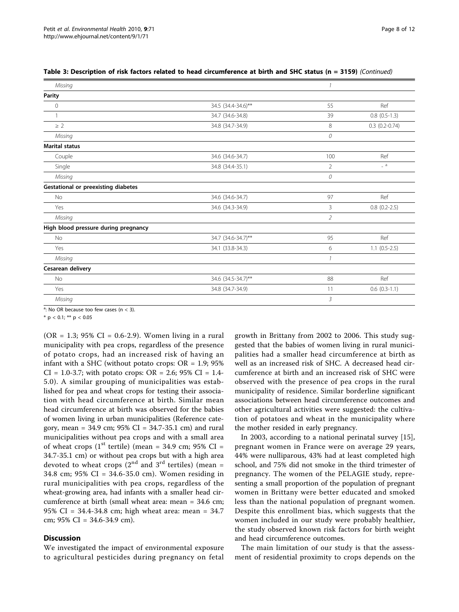| Missing                                    |                    | $\mathbf{1}$   |                     |
|--------------------------------------------|--------------------|----------------|---------------------|
| Parity                                     |                    |                |                     |
| $\mathbf 0$                                | 34.5 (34.4-34.6)** | 55             | Ref                 |
| 1                                          | 34.7 (34.6-34.8)   | 39             | $0.8$ $(0.5-1.3)$   |
| $\geq 2$                                   | 34.8 (34.7-34.9)   | 8              | $0.3(0.2 - 0.74)$   |
| Missing                                    |                    | 0              |                     |
| <b>Marital status</b>                      |                    |                |                     |
| Couple                                     | 34.6 (34.6-34.7)   | 100            | Ref                 |
| Single                                     | 34.8 (34.4-35.1)   | $\overline{2}$ | $a =$               |
| Missing                                    |                    | 0              |                     |
| <b>Gestational or preexisting diabetes</b> |                    |                |                     |
| No                                         | 34.6 (34.6-34.7)   | 97             | Ref                 |
| Yes                                        | 34.6 (34.3-34.9)   | 3              | $0.8$ $(0.2 - 2.5)$ |
| Missing                                    |                    | $\overline{2}$ |                     |
| High blood pressure during pregnancy       |                    |                |                     |
| <b>No</b>                                  | 34.7 (34.6-34.7)** | 95             | Ref                 |
| Yes                                        | 34.1 (33.8-34.3)   | 6              | $1.1 (0.5 - 2.5)$   |
| Missing                                    |                    | 1              |                     |
| Cesarean delivery                          |                    |                |                     |
| No                                         | 34.6 (34.5-34.7)** | 88             | Ref                 |
| Yes                                        | 34.8 (34.7-34.9)   | 11             | $0.6(0.3-1.1)$      |
| Missing                                    |                    | 3              |                     |

### Table 3: Description of risk factors related to head circumference at birth and SHC status (n = 3159) (Continued)

 $a$ : No OR because too few cases (n < 3).

\*  $p < 0.1$ ; \*\*  $p < 0.05$ 

 $(OR = 1.3; 95\% CI = 0.6-2.9)$ . Women living in a rural municipality with pea crops, regardless of the presence of potato crops, had an increased risk of having an infant with a SHC (without potato crops: OR = 1.9; 95%  $CI = 1.0 - 3.7$ ; with potato crops:  $OR = 2.6$ ; 95%  $CI = 1.4$ 5.0). A similar grouping of municipalities was established for pea and wheat crops for testing their association with head circumference at birth. Similar mean head circumference at birth was observed for the babies of women living in urban municipalities (Reference category, mean =  $34.9$  cm;  $95\%$  CI =  $34.7-35.1$  cm) and rural municipalities without pea crops and with a small area of wheat crops (1<sup>st</sup> tertile) (mean = 34.9 cm; 95% CI = 34.7-35.1 cm) or without pea crops but with a high area devoted to wheat crops  $(2^{nd}$  and  $3^{rd}$  tertiles) (mean = 34.8 cm; 95% CI = 34.6-35.0 cm). Women residing in rural municipalities with pea crops, regardless of the wheat-growing area, had infants with a smaller head circumference at birth (small wheat area: mean = 34.6 cm; 95% CI = 34.4-34.8 cm; high wheat area: mean = 34.7 cm; 95% CI = 34.6-34.9 cm).

# **Discussion**

We investigated the impact of environmental exposure to agricultural pesticides during pregnancy on fetal

growth in Brittany from 2002 to 2006. This study suggested that the babies of women living in rural municipalities had a smaller head circumference at birth as well as an increased risk of SHC. A decreased head circumference at birth and an increased risk of SHC were observed with the presence of pea crops in the rural municipality of residence. Similar borderline significant associations between head circumference outcomes and other agricultural activities were suggested: the cultivation of potatoes and wheat in the municipality where the mother resided in early pregnancy.

In 2003, according to a national perinatal survey [\[15](#page-11-0)], pregnant women in France were on average 29 years, 44% were nulliparous, 43% had at least completed high school, and 75% did not smoke in the third trimester of pregnancy. The women of the PELAGIE study, representing a small proportion of the population of pregnant women in Brittany were better educated and smoked less than the national population of pregnant women. Despite this enrollment bias, which suggests that the women included in our study were probably healthier, the study observed known risk factors for birth weight and head circumference outcomes.

The main limitation of our study is that the assessment of residential proximity to crops depends on the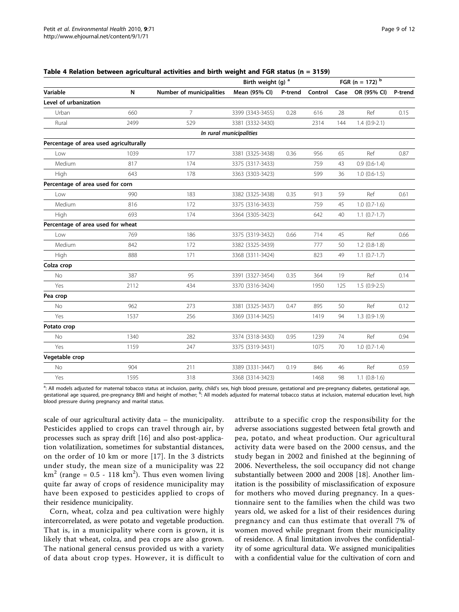|                                        |      |                          | Birth weight (g) <sup>a</sup> | FGR (n = 172) $^{\rm b}$ |         |      |                   |         |
|----------------------------------------|------|--------------------------|-------------------------------|--------------------------|---------|------|-------------------|---------|
| Variable                               | N    | Number of municipalities | Mean (95% CI)                 | P-trend                  | Control | Case | OR (95% CI)       | P-trend |
| Level of urbanization                  |      |                          |                               |                          |         |      |                   |         |
| Urban                                  | 660  | $\overline{7}$           | 3399 (3343-3455)              | 0.28                     | 616     | 28   | Ref               | 0.15    |
| Rural                                  | 2499 | 529                      | 3381 (3332-3430)              |                          | 2314    | 144  | $1.4(0.9-2.1)$    |         |
|                                        |      |                          | In rural municipalities       |                          |         |      |                   |         |
| Percentage of area used agriculturally |      |                          |                               |                          |         |      |                   |         |
| Low                                    | 1039 | 177                      | 3381 (3325-3438)              | 0.36                     | 956     | 65   | Ref               | 0.87    |
| Medium                                 | 817  | 174                      | 3375 (3317-3433)              |                          | 759     | 43   | $0.9$ $(0.6-1.4)$ |         |
| High                                   | 643  | 178                      | 3363 (3303-3423)              |                          | 599     | 36   | $1.0 (0.6 - 1.5)$ |         |
| Percentage of area used for corn       |      |                          |                               |                          |         |      |                   |         |
| Low                                    | 990  | 183                      | 3382 (3325-3438)              | 0.35                     | 913     | 59   | Ref               | 0.61    |
| Medium                                 | 816  | 172                      | 3375 (3316-3433)              |                          | 759     | 45   | $1.0 (0.7-1.6)$   |         |
| High                                   | 693  | 174                      | 3364 (3305-3423)              |                          | 642     | 40   | $1.1$ (0.7-1.7)   |         |
| Percentage of area used for wheat      |      |                          |                               |                          |         |      |                   |         |
| Low                                    | 769  | 186                      | 3375 (3319-3432)              | 0.66                     | 714     | 45   | Ref               | 0.66    |
| Medium                                 | 842  | 172                      | 3382 (3325-3439)              |                          | 777     | 50   | $1.2$ (0.8-1.8)   |         |
| High                                   | 888  | 171                      | 3368 (3311-3424)              |                          | 823     | 49   | $1.1$ (0.7-1.7)   |         |
| Colza crop                             |      |                          |                               |                          |         |      |                   |         |
| <b>No</b>                              | 387  | 95                       | 3391 (3327-3454)              | 0.35                     | 364     | 19   | Ref               | 0.14    |
| Yes                                    | 2112 | 434                      | 3370 (3316-3424)              |                          | 1950    | 125  | $1.5(0.9-2.5)$    |         |
| Pea crop                               |      |                          |                               |                          |         |      |                   |         |
| No                                     | 962  | 273                      | 3381 (3325-3437)              | 0.47                     | 895     | 50   | Ref               | 0.12    |
| Yes                                    | 1537 | 256                      | 3369 (3314-3425)              |                          | 1419    | 94   | $1.3(0.9-1.9)$    |         |
| Potato crop                            |      |                          |                               |                          |         |      |                   |         |
| No                                     | 1340 | 282                      | 3374 (3318-3430)              | 0.95                     | 1239    | 74   | Ref               | 0.94    |
| Yes                                    | 1159 | 247                      | 3375 (3319-3431)              |                          | 1075    | 70   | $1.0 (0.7-1.4)$   |         |
| Vegetable crop                         |      |                          |                               |                          |         |      |                   |         |
| No                                     | 904  | 211                      | 3389 (3331-3447)              | 0.19                     | 846     | 46   | Ref               | 0.59    |
| Yes                                    | 1595 | 318                      | 3368 (3314-3423)              |                          | 1468    | 98   | $1.1$ $(0.8-1.6)$ |         |

<span id="page-8-0"></span>Table 4 Relation between agricultural activities and birth weight and FGR status (n = 3159)

<sup>a</sup>: All models adjusted for maternal tobacco status at inclusion, parity, child's sex, high blood pressure, gestational and pre-pregnancy diabetes, gestational age gestational age squared, pre-pregnancy BMI and height of mother; <sup>b</sup>: All models adjusted for maternal tobacco status at inclusion, maternal education level, high blood pressure during pregnancy and marital status.

scale of our agricultural activity data – the municipality. Pesticides applied to crops can travel through air, by processes such as spray drift [\[16](#page-11-0)] and also post-application volatilization, sometimes for substantial distances, on the order of 10 km or more [[17](#page-11-0)]. In the 3 districts under study, the mean size of a municipality was 22 km<sup>2</sup> (range =  $0.5$  -  $118 \text{ km}^2$ ). Thus even women living quite far away of crops of residence municipality may have been exposed to pesticides applied to crops of their residence municipality.

Corn, wheat, colza and pea cultivation were highly intercorrelated, as were potato and vegetable production. That is, in a municipality where corn is grown, it is likely that wheat, colza, and pea crops are also grown. The national general census provided us with a variety of data about crop types. However, it is difficult to

attribute to a specific crop the responsibility for the adverse associations suggested between fetal growth and pea, potato, and wheat production. Our agricultural activity data were based on the 2000 census, and the study began in 2002 and finished at the beginning of 2006. Nevertheless, the soil occupancy did not change substantially between 2000 and 2008 [[18\]](#page-11-0). Another limitation is the possibility of misclassification of exposure for mothers who moved during pregnancy. In a questionnaire sent to the families when the child was two years old, we asked for a list of their residences during pregnancy and can thus estimate that overall 7% of women moved while pregnant from their municipality of residence. A final limitation involves the confidentiality of some agricultural data. We assigned municipalities with a confidential value for the cultivation of corn and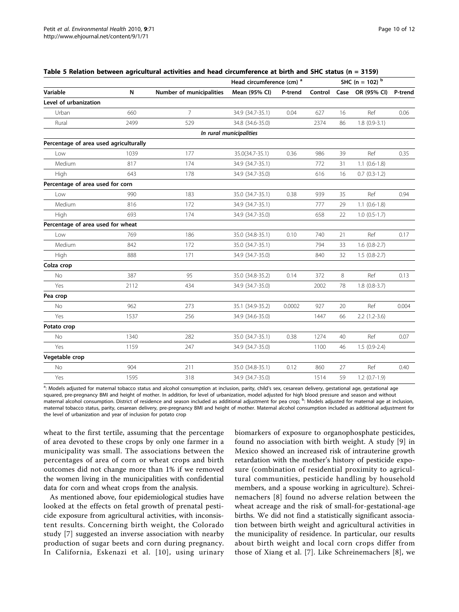|                                        |      |                          | Head circumference (cm) <sup>a</sup> | SHC (n = 102) $^{\rm b}$ |      |    |                          |         |
|----------------------------------------|------|--------------------------|--------------------------------------|--------------------------|------|----|--------------------------|---------|
| Variable                               | N    | Number of municipalities | Mean (95% CI)                        | P-trend                  |      |    | Control Case OR (95% CI) | P-trend |
| Level of urbanization                  |      |                          |                                      |                          |      |    |                          |         |
| Urban                                  | 660  | 7                        | 34.9 (34.7-35.1)                     | 0.04                     | 627  | 16 | Ref                      | 0.06    |
| Rural                                  | 2499 | 529                      | 34.8 (34.6-35.0)                     |                          | 2374 | 86 | $1.8(0.9-3.1)$           |         |
|                                        |      |                          | In rural municipalities              |                          |      |    |                          |         |
| Percentage of area used agriculturally |      |                          |                                      |                          |      |    |                          |         |
| Low                                    | 1039 | 177                      | 35.0(34.7-35.1)                      | 0.36                     | 986  | 39 | Ref                      | 0.35    |
| Medium                                 | 817  | 174                      | 34.9 (34.7-35.1)                     |                          | 772  | 31 | $1.1$ (0.6-1.8)          |         |
| High                                   | 643  | 178                      | 34.9 (34.7-35.0)                     |                          | 616  | 16 | $0.7(0.3-1.2)$           |         |
| Percentage of area used for corn       |      |                          |                                      |                          |      |    |                          |         |
| Low                                    | 990  | 183                      | 35.0 (34.7-35.1)                     | 0.38                     | 939  | 35 | Ref                      | 0.94    |
| Medium                                 | 816  | 172                      | 34.9 (34.7-35.1)                     |                          | 777  | 29 | $1.1$ (0.6-1.8)          |         |
| High                                   | 693  | 174                      | 34.9 (34.7-35.0)                     |                          | 658  | 22 | $1.0(0.5-1.7)$           |         |
| Percentage of area used for wheat      |      |                          |                                      |                          |      |    |                          |         |
| Low                                    | 769  | 186                      | 35.0 (34.8-35.1)                     | 0.10                     | 740  | 21 | Ref                      | 0.17    |
| Medium                                 | 842  | 172                      | 35.0 (34.7-35.1)                     |                          | 794  | 33 | $1.6(0.8-2.7)$           |         |
| High                                   | 888  | 171                      | 34.9 (34.7-35.0)                     |                          | 840  | 32 | $1.5(0.8-2.7)$           |         |
| Colza crop                             |      |                          |                                      |                          |      |    |                          |         |
| <b>No</b>                              | 387  | 95                       | 35.0 (34.8-35.2)                     | 0.14                     | 372  | 8  | Ref                      | 0.13    |
| Yes                                    | 2112 | 434                      | 34.9 (34.7-35.0)                     |                          | 2002 | 78 | $1.8(0.8-3.7)$           |         |
| Pea crop                               |      |                          |                                      |                          |      |    |                          |         |
| No                                     | 962  | 273                      | 35.1 (34.9-35.2)                     | 0.0002                   | 927  | 20 | Ref                      | 0.004   |
| Yes                                    | 1537 | 256                      | 34.9 (34.6-35.0)                     |                          | 1447 | 66 | $2.2$ $(1.2-3.6)$        |         |
| Potato crop                            |      |                          |                                      |                          |      |    |                          |         |
| No                                     | 1340 | 282                      | 35.0 (34.7-35.1)                     | 0.38                     | 1274 | 40 | Ref                      | 0.07    |
| Yes                                    | 1159 | 247                      | 34.9 (34.7-35.0)                     |                          | 1100 | 46 | $1.5(0.9-2.4)$           |         |
| Vegetable crop                         |      |                          |                                      |                          |      |    |                          |         |
| No                                     | 904  | 211                      | 35.0 (34.8-35.1)                     | 0.12                     | 860  | 27 | Ref                      | 0.40    |
| Yes                                    | 1595 | 318                      | 34.9 (34.7-35.0)                     |                          | 1514 | 59 | $1.2$ (0.7-1.9)          |         |

<span id="page-9-0"></span>

<sup>a</sup>: Models adjusted for maternal tobacco status and alcohol consumption at inclusion, parity, child's sex, cesarean delivery, gestational age, gestational age squared, pre-pregnancy BMI and height of mother. In addition, for level of urbanization, model adjusted for high blood pressure and season and without maternal alcohol consumption. District of residence and season included as additional adjustment for pea crop; <sup>b</sup>: Models adjusted for maternal age at inclusion, maternal tobacco status, parity, cesarean delivery, pre-pregnancy BMI and height of mother. Maternal alcohol consumption included as additional adjustment for the level of urbanization and year of inclusion for potato crop

wheat to the first tertile, assuming that the percentage of area devoted to these crops by only one farmer in a municipality was small. The associations between the percentages of area of corn or wheat crops and birth outcomes did not change more than 1% if we removed the women living in the municipalities with confidential data for corn and wheat crops from the analysis.

As mentioned above, four epidemiological studies have looked at the effects on fetal growth of prenatal pesticide exposure from agricultural activities, with inconsistent results. Concerning birth weight, the Colorado study [\[7](#page-10-0)] suggested an inverse association with nearby production of sugar beets and corn during pregnancy. In California, Eskenazi et al. [[10\]](#page-11-0), using urinary biomarkers of exposure to organophosphate pesticides, found no association with birth weight. A study [\[9\]](#page-11-0) in Mexico showed an increased risk of intrauterine growth retardation with the mother's history of pesticide exposure (combination of residential proximity to agricultural communities, pesticide handling by household members, and a spouse working in agriculture). Schreinemachers [[8](#page-11-0)] found no adverse relation between the wheat acreage and the risk of small-for-gestational-age births. We did not find a statistically significant association between birth weight and agricultural activities in the municipality of residence. In particular, our results about birth weight and local corn crops differ from those of Xiang et al. [[7\]](#page-10-0). Like Schreinemachers [[8](#page-11-0)], we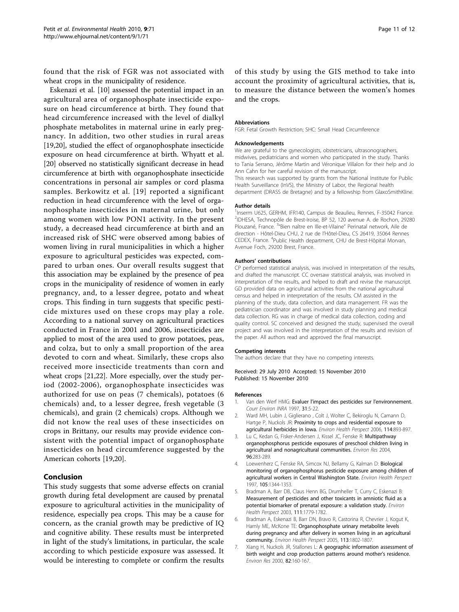<span id="page-10-0"></span>found that the risk of FGR was not associated with wheat crops in the municipality of residence.

Eskenazi et al. [[10\]](#page-11-0) assessed the potential impact in an agricultural area of organophosphate insecticide exposure on head circumference at birth. They found that head circumference increased with the level of dialkyl phosphate metabolites in maternal urine in early pregnancy. In addition, two other studies in rural areas [[19,20\]](#page-11-0), studied the effect of organophosphate insecticide exposure on head circumference at birth. Whyatt et al. [[20\]](#page-11-0) observed no statistically significant decrease in head circumference at birth with organophosphate insecticide concentrations in personal air samples or cord plasma samples. Berkowitz et al. [[19\]](#page-11-0) reported a significant reduction in head circumference with the level of organophosphate insecticides in maternal urine, but only among women with low PON1 activity. In the present study, a decreased head circumference at birth and an increased risk of SHC were observed among babies of women living in rural municipalities in which a higher exposure to agricultural pesticides was expected, compared to urban ones. Our overall results suggest that this association may be explained by the presence of pea crops in the municipality of residence of women in early pregnancy, and, to a lesser degree, potato and wheat crops. This finding in turn suggests that specific pesticide mixtures used on these crops may play a role. According to a national survey on agricultural practices conducted in France in 2001 and 2006, insecticides are applied to most of the area used to grow potatoes, peas, and colza, but to only a small proportion of the area devoted to corn and wheat. Similarly, these crops also received more insecticide treatments than corn and wheat crops [\[21,22](#page-11-0)]. More especially, over the study period (2002-2006), organophosphate insecticides was authorized for use on peas (7 chemicals), potatoes (6 chemicals) and, to a lesser degree, fresh vegetable (3 chemicals), and grain (2 chemicals) crops. Although we did not know the real uses of these insecticides on crops in Brittany, our results may provide evidence consistent with the potential impact of organophosphate insecticides on head circumference suggested by the American cohorts [[19,20](#page-11-0)].

# Conclusion

This study suggests that some adverse effects on cranial growth during fetal development are caused by prenatal exposure to agricultural activities in the municipality of residence, especially pea crops. This may be a cause for concern, as the cranial growth may be predictive of IQ and cognitive ability. These results must be interpreted in light of the study's limitations, in particular, the scale according to which pesticide exposure was assessed. It would be interesting to complete or confirm the results

of this study by using the GIS method to take into account the proximity of agricultural activities, that is, to measure the distance between the women's homes and the crops.

#### Abbreviations

FGR: Fetal Growth Restriction; SHC: Small Head Circumference

#### Acknowledgements

We are grateful to the gynecologists, obstetricians, ultrasonographers, midwives, pediatricians and women who participated in the study. Thanks to Tania Serrano, Jérôme Martin and Véronique Villalon for their help and Jo Ann Cahn for her careful revision of the manuscript.

This research was supported by grants from the National Institute for Public Health Surveillance (InVS), the Ministry of Labor, the Regional health department (DRASS de Bretagne) and by a fellowship from GlaxoSmithKline.

#### Author details

<sup>1</sup>Inserm U625, GERHM, IFR140, Campus de Beaulieu, Rennes, F-35042 France. <sup>2</sup>IDHESA, Technopôle de Brest-Iroise, BP 52, 120 avenue A. de Rochon, 29280 Plouzané, France. <sup>3</sup>"Bien naître en Ille-et-Vilaine" Perinatal network, Aile de direction - Hôtel-Dieu CHU, 2 rue de l'Hôtel-Dieu, CS 26419, 35064 Rennes CEDEX, France. <sup>4</sup>Public Health department, CHU de Brest-Hôpital Morvan, Avenue Foch, 29200 Brest, France.

#### Authors' contributions

CP performed statistical analysis, was involved in interpretation of the results, and drafted the manuscript. CC oversaw statistical analysis, was involved in interpretation of the results, and helped to draft and revise the manuscript. GD provided data on agricultural activities from the national agricultural census and helped in interpretation of the results. CM assisted in the planning of the study, data collection, and data management. FR was the pediatrician coordinator and was involved in study planning and medical data collection. RG was in charge of medical data collection, coding and quality control. SC conceived and designed the study, supervised the overall project and was involved in the interpretation of the results and revision of the paper. All authors read and approved the final manuscript.

#### Competing interests

The authors declare that they have no competing interests.

Received: 29 July 2010 Accepted: 15 November 2010 Published: 15 November 2010

#### References

- 1. Van den Werf HMG: Evaluer l'impact des pesticides sur l'environnement. Courr Environ INRA 1997, 31:5-22.
- 2. Ward MH, Lubin J, Giglierano , Colt J, Wolter C, Bekiroglu N, Camann D, Hartge P, Nuckols JR: [Proximity to crops and residential exposure to](http://www.ncbi.nlm.nih.gov/pubmed/16759991?dopt=Abstract) [agricultural herbicides in Iowa.](http://www.ncbi.nlm.nih.gov/pubmed/16759991?dopt=Abstract) Environ Health Perspect 2006, 114:893-897.
- Lu C, Kedan G, Fisker-Andersen J, Kissel JC, Fenske R: [Multipathway](http://www.ncbi.nlm.nih.gov/pubmed/15364595?dopt=Abstract) [organophosphorus pesticide exposures of preschool children living in](http://www.ncbi.nlm.nih.gov/pubmed/15364595?dopt=Abstract) [agricultural and nonagricultural communities.](http://www.ncbi.nlm.nih.gov/pubmed/15364595?dopt=Abstract) Environ Res 2004, 96:283-289.
- 4. Loewenherz C, Fenske RA, Simcox NJ, Bellamy G, Kalman D: [Biological](http://www.ncbi.nlm.nih.gov/pubmed/9405329?dopt=Abstract) [monitoring of organophosphorus pesticide exposure among children of](http://www.ncbi.nlm.nih.gov/pubmed/9405329?dopt=Abstract) [agricultural workers in Central Washington State.](http://www.ncbi.nlm.nih.gov/pubmed/9405329?dopt=Abstract) Environ Health Perspect 1997, 105:1344-1353.
- 5. Bradman A, Barr DB, Claus Henn BG, Drumheller T, Curry C, Eskenazi B: [Measurement of pesticides and other toxicants in amniotic fluid as a](http://www.ncbi.nlm.nih.gov/pubmed/14594631?dopt=Abstract) [potential biomarker of prenatal exposure: a validation study.](http://www.ncbi.nlm.nih.gov/pubmed/14594631?dopt=Abstract) Environ Health Perspect 2003, 111:1779-1782.
- 6. Bradman A, Eskenazi B, Barr DN, Bravo R, Castorina R, Chevrier J, Kogut K, Harnly ME, McKone TE: [Organophosphate urinary metabolite levels](http://www.ncbi.nlm.nih.gov/pubmed/16330368?dopt=Abstract) [during pregnancy and after delivery in women living in an agricultural](http://www.ncbi.nlm.nih.gov/pubmed/16330368?dopt=Abstract) [community.](http://www.ncbi.nlm.nih.gov/pubmed/16330368?dopt=Abstract) Environ Health Perspect 2005, 113:1802-1807.
- 7. Xiang H, Nuckols JR, Stallones L: [A geographic information assessment of](http://www.ncbi.nlm.nih.gov/pubmed/10662530?dopt=Abstract) [birth weight and crop production patterns around mother](http://www.ncbi.nlm.nih.gov/pubmed/10662530?dopt=Abstract)'s residence. Environ Res 2000, 82:160-167.